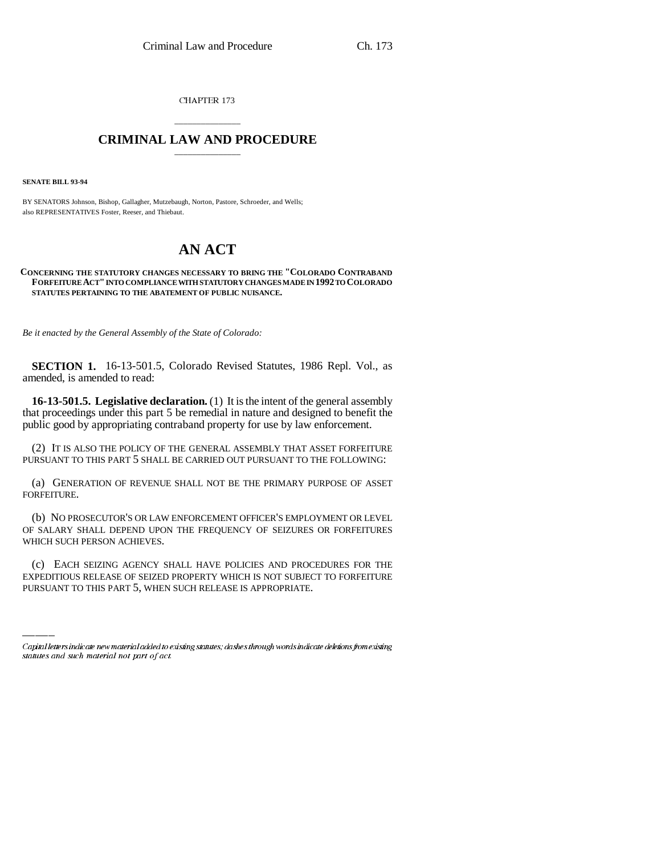CHAPTER 173

## \_\_\_\_\_\_\_\_\_\_\_\_\_\_\_ **CRIMINAL LAW AND PROCEDURE** \_\_\_\_\_\_\_\_\_\_\_\_\_\_\_

**SENATE BILL 93-94**

BY SENATORS Johnson, Bishop, Gallagher, Mutzebaugh, Norton, Pastore, Schroeder, and Wells; also REPRESENTATIVES Foster, Reeser, and Thiebaut.

# **AN ACT**

#### **CONCERNING THE STATUTORY CHANGES NECESSARY TO BRING THE "COLORADO CONTRABAND FORFEITURE ACT" INTO COMPLIANCE WITH STATUTORY CHANGES MADE IN 1992 TO COLORADO STATUTES PERTAINING TO THE ABATEMENT OF PUBLIC NUISANCE.**

*Be it enacted by the General Assembly of the State of Colorado:*

**SECTION 1.** 16-13-501.5, Colorado Revised Statutes, 1986 Repl. Vol., as amended, is amended to read:

**16-13-501.5. Legislative declaration.** (1) It is the intent of the general assembly that proceedings under this part 5 be remedial in nature and designed to benefit the public good by appropriating contraband property for use by law enforcement.

(2) IT IS ALSO THE POLICY OF THE GENERAL ASSEMBLY THAT ASSET FORFEITURE PURSUANT TO THIS PART 5 SHALL BE CARRIED OUT PURSUANT TO THE FOLLOWING:

(a) GENERATION OF REVENUE SHALL NOT BE THE PRIMARY PURPOSE OF ASSET FORFEITURE.

(b) NO PROSECUTOR'S OR LAW ENFORCEMENT OFFICER'S EMPLOYMENT OR LEVEL OF SALARY SHALL DEPEND UPON THE FREQUENCY OF SEIZURES OR FORFEITURES WHICH SUCH PERSON ACHIEVES.

 $\mathcal{L}_{\text{max}}$ (c) EACH SEIZING AGENCY SHALL HAVE POLICIES AND PROCEDURES FOR THE EXPEDITIOUS RELEASE OF SEIZED PROPERTY WHICH IS NOT SUBJECT TO FORFEITURE PURSUANT TO THIS PART 5, WHEN SUCH RELEASE IS APPROPRIATE.

Capital letters indicate new material added to existing statutes; dashes through words indicate deletions from existing statutes and such material not part of act.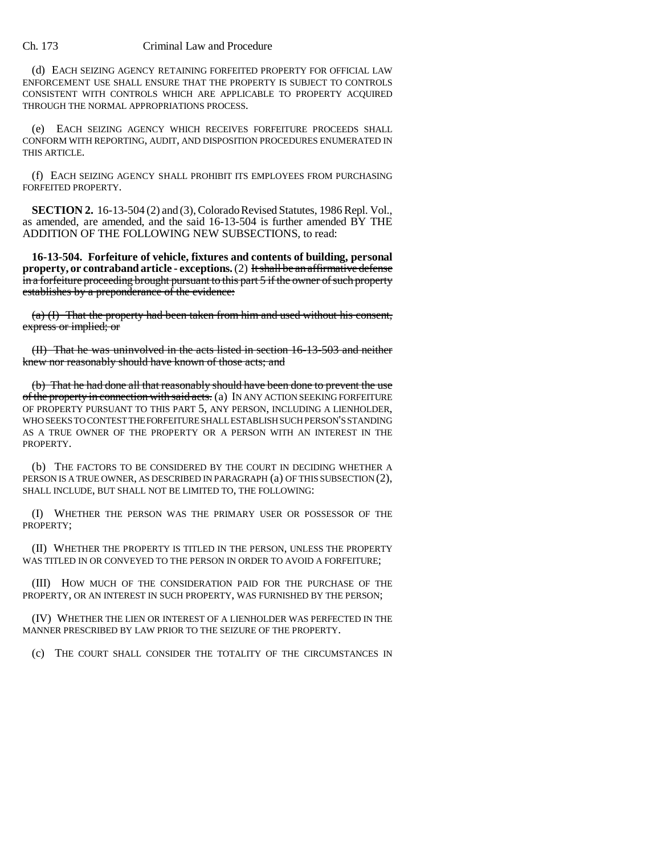#### Ch. 173 Criminal Law and Procedure

(d) EACH SEIZING AGENCY RETAINING FORFEITED PROPERTY FOR OFFICIAL LAW ENFORCEMENT USE SHALL ENSURE THAT THE PROPERTY IS SUBJECT TO CONTROLS CONSISTENT WITH CONTROLS WHICH ARE APPLICABLE TO PROPERTY ACQUIRED THROUGH THE NORMAL APPROPRIATIONS PROCESS.

(e) EACH SEIZING AGENCY WHICH RECEIVES FORFEITURE PROCEEDS SHALL CONFORM WITH REPORTING, AUDIT, AND DISPOSITION PROCEDURES ENUMERATED IN THIS ARTICLE.

(f) EACH SEIZING AGENCY SHALL PROHIBIT ITS EMPLOYEES FROM PURCHASING FORFEITED PROPERTY.

**SECTION 2.** 16-13-504 (2) and (3), Colorado Revised Statutes, 1986 Repl. Vol., as amended, are amended, and the said 16-13-504 is further amended BY THE ADDITION OF THE FOLLOWING NEW SUBSECTIONS, to read:

**16-13-504. Forfeiture of vehicle, fixtures and contents of building, personal property, or contraband article - exceptions.** (2) It shall be an affirmative defense in a forfeiture proceeding brought pursuant to this part 5 if the owner of such property establishes by a preponderance of the evidence:

(a) (I) That the property had been taken from him and used without his consent, express or implied; or

(II) That he was uninvolved in the acts listed in section 16-13-503 and neither knew nor reasonably should have known of those acts; and

(b) That he had done all that reasonably should have been done to prevent the use of the property in connection with said acts. (a) IN ANY ACTION SEEKING FORFEITURE OF PROPERTY PURSUANT TO THIS PART 5, ANY PERSON, INCLUDING A LIENHOLDER, WHO SEEKS TO CONTEST THE FORFEITURE SHALL ESTABLISH SUCH PERSON'S STANDING AS A TRUE OWNER OF THE PROPERTY OR A PERSON WITH AN INTEREST IN THE PROPERTY.

(b) THE FACTORS TO BE CONSIDERED BY THE COURT IN DECIDING WHETHER A PERSON IS A TRUE OWNER, AS DESCRIBED IN PARAGRAPH (a) OF THIS SUBSECTION (2), SHALL INCLUDE, BUT SHALL NOT BE LIMITED TO, THE FOLLOWING:

(I) WHETHER THE PERSON WAS THE PRIMARY USER OR POSSESSOR OF THE PROPERTY;

(II) WHETHER THE PROPERTY IS TITLED IN THE PERSON, UNLESS THE PROPERTY WAS TITLED IN OR CONVEYED TO THE PERSON IN ORDER TO AVOID A FORFEITURE;

(III) HOW MUCH OF THE CONSIDERATION PAID FOR THE PURCHASE OF THE PROPERTY, OR AN INTEREST IN SUCH PROPERTY, WAS FURNISHED BY THE PERSON;

(IV) WHETHER THE LIEN OR INTEREST OF A LIENHOLDER WAS PERFECTED IN THE MANNER PRESCRIBED BY LAW PRIOR TO THE SEIZURE OF THE PROPERTY.

(c) THE COURT SHALL CONSIDER THE TOTALITY OF THE CIRCUMSTANCES IN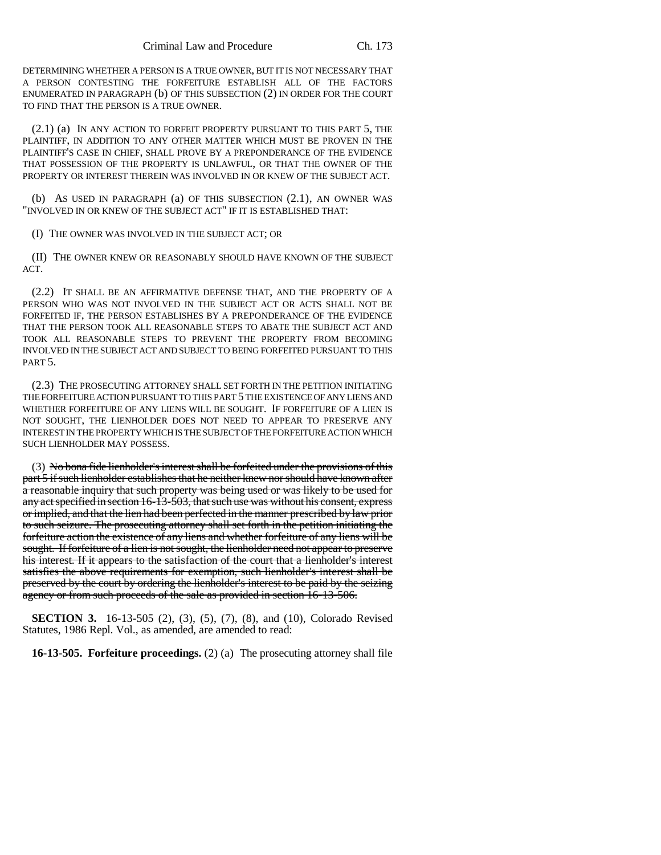DETERMINING WHETHER A PERSON IS A TRUE OWNER, BUT IT IS NOT NECESSARY THAT A PERSON CONTESTING THE FORFEITURE ESTABLISH ALL OF THE FACTORS ENUMERATED IN PARAGRAPH (b) OF THIS SUBSECTION (2) IN ORDER FOR THE COURT TO FIND THAT THE PERSON IS A TRUE OWNER.

(2.1) (a) IN ANY ACTION TO FORFEIT PROPERTY PURSUANT TO THIS PART 5, THE PLAINTIFF, IN ADDITION TO ANY OTHER MATTER WHICH MUST BE PROVEN IN THE PLAINTIFF'S CASE IN CHIEF, SHALL PROVE BY A PREPONDERANCE OF THE EVIDENCE THAT POSSESSION OF THE PROPERTY IS UNLAWFUL, OR THAT THE OWNER OF THE PROPERTY OR INTEREST THEREIN WAS INVOLVED IN OR KNEW OF THE SUBJECT ACT.

(b) AS USED IN PARAGRAPH (a) OF THIS SUBSECTION (2.1), AN OWNER WAS "INVOLVED IN OR KNEW OF THE SUBJECT ACT" IF IT IS ESTABLISHED THAT:

(I) THE OWNER WAS INVOLVED IN THE SUBJECT ACT; OR

(II) THE OWNER KNEW OR REASONABLY SHOULD HAVE KNOWN OF THE SUBJECT ACT.

(2.2) IT SHALL BE AN AFFIRMATIVE DEFENSE THAT, AND THE PROPERTY OF A PERSON WHO WAS NOT INVOLVED IN THE SUBJECT ACT OR ACTS SHALL NOT BE FORFEITED IF, THE PERSON ESTABLISHES BY A PREPONDERANCE OF THE EVIDENCE THAT THE PERSON TOOK ALL REASONABLE STEPS TO ABATE THE SUBJECT ACT AND TOOK ALL REASONABLE STEPS TO PREVENT THE PROPERTY FROM BECOMING INVOLVED IN THE SUBJECT ACT AND SUBJECT TO BEING FORFEITED PURSUANT TO THIS PART 5.

(2.3) THE PROSECUTING ATTORNEY SHALL SET FORTH IN THE PETITION INITIATING THE FORFEITURE ACTION PURSUANT TO THIS PART 5 THE EXISTENCE OF ANY LIENS AND WHETHER FORFEITURE OF ANY LIENS WILL BE SOUGHT. IF FORFEITURE OF A LIEN IS NOT SOUGHT, THE LIENHOLDER DOES NOT NEED TO APPEAR TO PRESERVE ANY INTEREST IN THE PROPERTY WHICH IS THE SUBJECT OF THE FORFEITURE ACTION WHICH SUCH LIENHOLDER MAY POSSESS.

(3) No bona fide lienholder's interest shall be forfeited under the provisions of this part 5 if such lienholder establishes that he neither knew nor should have known after a reasonable inquiry that such property was being used or was likely to be used for any act specified in section 16-13-503, that such use was without his consent, express or implied, and that the lien had been perfected in the manner prescribed by law prior to such seizure. The prosecuting attorney shall set forth in the petition initiating the forfeiture action the existence of any liens and whether forfeiture of any liens will be sought. If forfeiture of a lien is not sought, the lienholder need not appear to preserve his interest. If it appears to the satisfaction of the court that a lienholder's interest satisfies the above requirements for exemption, such lienholder's interest shall be preserved by the court by ordering the lienholder's interest to be paid by the seizing agency or from such proceeds of the sale as provided in section 16-13-506.

**SECTION 3.** 16-13-505 (2), (3), (5), (7), (8), and (10), Colorado Revised Statutes, 1986 Repl. Vol., as amended, are amended to read:

**16-13-505. Forfeiture proceedings.** (2) (a) The prosecuting attorney shall file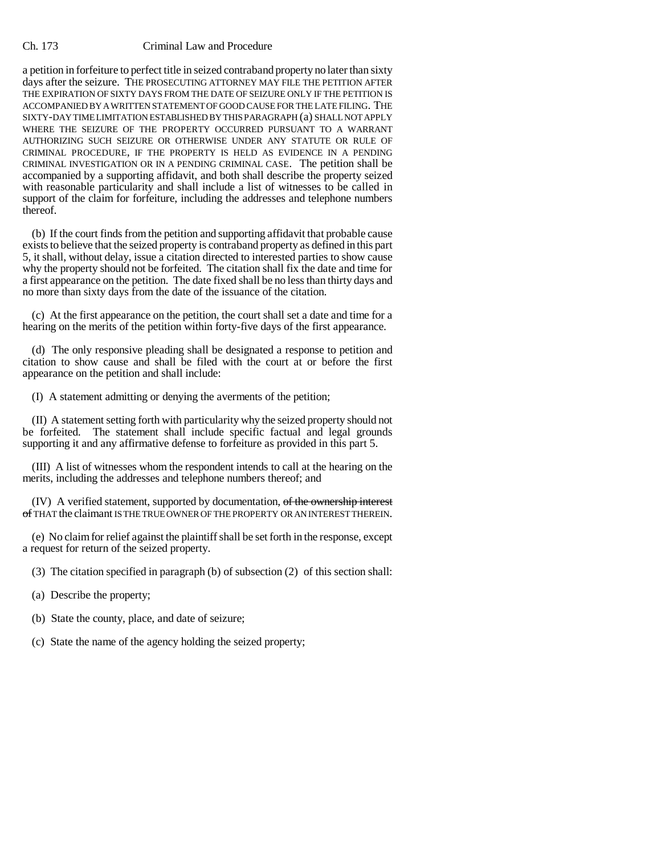### Ch. 173 Criminal Law and Procedure

a petition in forfeiture to perfect title in seized contraband property no later than sixty days after the seizure. THE PROSECUTING ATTORNEY MAY FILE THE PETITION AFTER THE EXPIRATION OF SIXTY DAYS FROM THE DATE OF SEIZURE ONLY IF THE PETITION IS ACCOMPANIED BY A WRITTEN STATEMENT OF GOOD CAUSE FOR THE LATE FILING. THE SIXTY-DAY TIME LIMITATION ESTABLISHED BY THIS PARAGRAPH (a) SHALL NOT APPLY WHERE THE SEIZURE OF THE PROPERTY OCCURRED PURSUANT TO A WARRANT AUTHORIZING SUCH SEIZURE OR OTHERWISE UNDER ANY STATUTE OR RULE OF CRIMINAL PROCEDURE, IF THE PROPERTY IS HELD AS EVIDENCE IN A PENDING CRIMINAL INVESTIGATION OR IN A PENDING CRIMINAL CASE. The petition shall be accompanied by a supporting affidavit, and both shall describe the property seized with reasonable particularity and shall include a list of witnesses to be called in support of the claim for forfeiture, including the addresses and telephone numbers thereof.

(b) If the court finds from the petition and supporting affidavit that probable cause exists to believe that the seized property is contraband property as defined in this part 5, it shall, without delay, issue a citation directed to interested parties to show cause why the property should not be forfeited. The citation shall fix the date and time for a first appearance on the petition. The date fixed shall be no less than thirty days and no more than sixty days from the date of the issuance of the citation.

(c) At the first appearance on the petition, the court shall set a date and time for a hearing on the merits of the petition within forty-five days of the first appearance.

(d) The only responsive pleading shall be designated a response to petition and citation to show cause and shall be filed with the court at or before the first appearance on the petition and shall include:

(I) A statement admitting or denying the averments of the petition;

(II) A statement setting forth with particularity why the seized property should not be forfeited. The statement shall include specific factual and legal grounds supporting it and any affirmative defense to forfeiture as provided in this part 5.

(III) A list of witnesses whom the respondent intends to call at the hearing on the merits, including the addresses and telephone numbers thereof; and

(IV) A verified statement, supported by documentation, of the ownership interest of THAT the claimant IS THE TRUE OWNER OF THE PROPERTY OR AN INTEREST THEREIN.

(e) No claim for relief against the plaintiff shall be set forth in the response, except a request for return of the seized property.

- (3) The citation specified in paragraph (b) of subsection (2) of this section shall:
- (a) Describe the property;
- (b) State the county, place, and date of seizure;
- (c) State the name of the agency holding the seized property;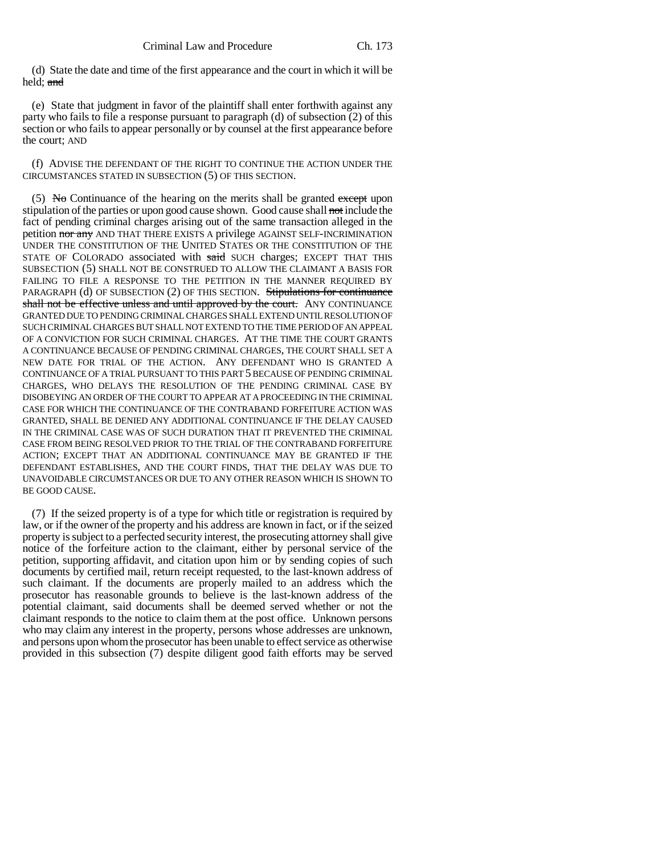(d) State the date and time of the first appearance and the court in which it will be held; and

(e) State that judgment in favor of the plaintiff shall enter forthwith against any party who fails to file a response pursuant to paragraph (d) of subsection (2) of this section or who fails to appear personally or by counsel at the first appearance before the court; AND

(f) ADVISE THE DEFENDANT OF THE RIGHT TO CONTINUE THE ACTION UNDER THE CIRCUMSTANCES STATED IN SUBSECTION (5) OF THIS SECTION.

 $(5)$  No Continuance of the hearing on the merits shall be granted except upon stipulation of the parties or upon good cause shown. Good cause shall not include the fact of pending criminal charges arising out of the same transaction alleged in the petition nor any AND THAT THERE EXISTS A privilege AGAINST SELF-INCRIMINATION UNDER THE CONSTITUTION OF THE UNITED STATES OR THE CONSTITUTION OF THE STATE OF COLORADO associated with said SUCH charges; EXCEPT THAT THIS SUBSECTION (5) SHALL NOT BE CONSTRUED TO ALLOW THE CLAIMANT A BASIS FOR FAILING TO FILE A RESPONSE TO THE PETITION IN THE MANNER REQUIRED BY PARAGRAPH (d) OF SUBSECTION (2) OF THIS SECTION. Stipulations for continuance shall not be effective unless and until approved by the court. ANY CONTINUANCE GRANTED DUE TO PENDING CRIMINAL CHARGES SHALL EXTEND UNTIL RESOLUTION OF SUCH CRIMINAL CHARGES BUT SHALL NOT EXTEND TO THE TIME PERIOD OF AN APPEAL OF A CONVICTION FOR SUCH CRIMINAL CHARGES. AT THE TIME THE COURT GRANTS A CONTINUANCE BECAUSE OF PENDING CRIMINAL CHARGES, THE COURT SHALL SET A NEW DATE FOR TRIAL OF THE ACTION. ANY DEFENDANT WHO IS GRANTED A CONTINUANCE OF A TRIAL PURSUANT TO THIS PART 5 BECAUSE OF PENDING CRIMINAL CHARGES, WHO DELAYS THE RESOLUTION OF THE PENDING CRIMINAL CASE BY DISOBEYING AN ORDER OF THE COURT TO APPEAR AT A PROCEEDING IN THE CRIMINAL CASE FOR WHICH THE CONTINUANCE OF THE CONTRABAND FORFEITURE ACTION WAS GRANTED, SHALL BE DENIED ANY ADDITIONAL CONTINUANCE IF THE DELAY CAUSED IN THE CRIMINAL CASE WAS OF SUCH DURATION THAT IT PREVENTED THE CRIMINAL CASE FROM BEING RESOLVED PRIOR TO THE TRIAL OF THE CONTRABAND FORFEITURE ACTION; EXCEPT THAT AN ADDITIONAL CONTINUANCE MAY BE GRANTED IF THE DEFENDANT ESTABLISHES, AND THE COURT FINDS, THAT THE DELAY WAS DUE TO UNAVOIDABLE CIRCUMSTANCES OR DUE TO ANY OTHER REASON WHICH IS SHOWN TO BE GOOD CAUSE.

(7) If the seized property is of a type for which title or registration is required by law, or if the owner of the property and his address are known in fact, or if the seized property is subject to a perfected security interest, the prosecuting attorney shall give notice of the forfeiture action to the claimant, either by personal service of the petition, supporting affidavit, and citation upon him or by sending copies of such documents by certified mail, return receipt requested, to the last-known address of such claimant. If the documents are properly mailed to an address which the prosecutor has reasonable grounds to believe is the last-known address of the potential claimant, said documents shall be deemed served whether or not the claimant responds to the notice to claim them at the post office. Unknown persons who may claim any interest in the property, persons whose addresses are unknown, and persons upon whom the prosecutor has been unable to effect service as otherwise provided in this subsection (7) despite diligent good faith efforts may be served